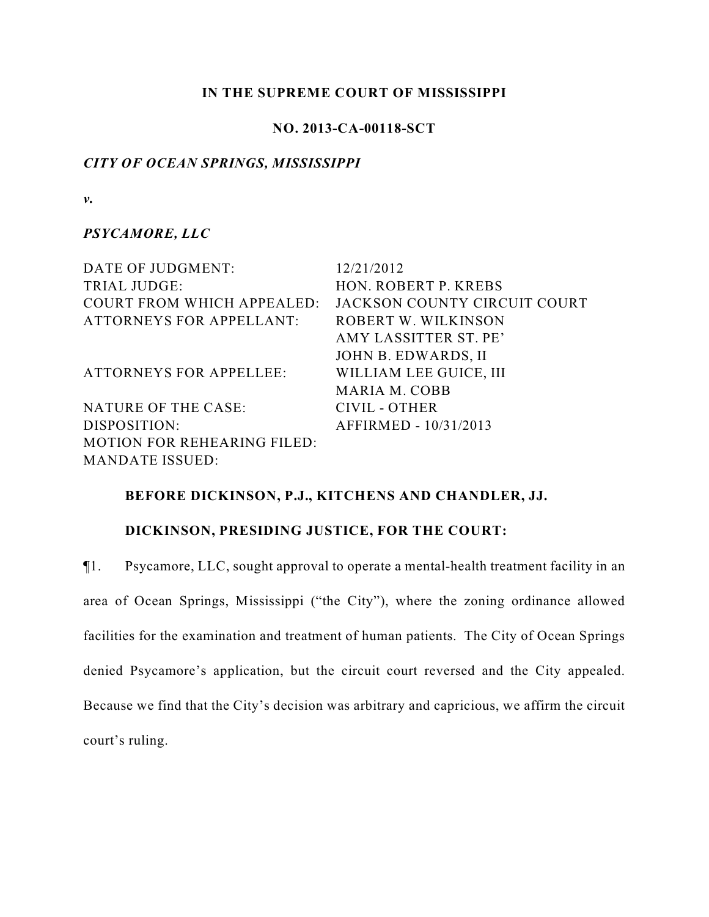### **IN THE SUPREME COURT OF MISSISSIPPI**

# **NO. 2013-CA-00118-SCT**

### *CITY OF OCEAN SPRINGS, MISSISSIPPI*

*v.*

## *PSYCAMORE, LLC*

DATE OF JUDGMENT: 12/21/2012 TRIAL JUDGE: HON. ROBERT P. KREBS COURT FROM WHICH APPEALED: JACKSON COUNTY CIRCUIT COURT ATTORNEYS FOR APPELLANT: ROBERT W. WILKINSON AMY LASSITTER ST. PE' JOHN B. EDWARDS, II ATTORNEYS FOR APPELLEE: WILLIAM LEE GUICE, III MARIA M. COBB NATURE OF THE CASE: CIVIL - OTHER DISPOSITION: AFFIRMED - 10/31/2013 MOTION FOR REHEARING FILED: MANDATE ISSUED:

### **BEFORE DICKINSON, P.J., KITCHENS AND CHANDLER, JJ.**

## **DICKINSON, PRESIDING JUSTICE, FOR THE COURT:**

¶1. Psycamore, LLC, sought approval to operate a mental-health treatment facility in an area of Ocean Springs, Mississippi ("the City"), where the zoning ordinance allowed facilities for the examination and treatment of human patients. The City of Ocean Springs denied Psycamore's application, but the circuit court reversed and the City appealed. Because we find that the City's decision was arbitrary and capricious, we affirm the circuit court's ruling.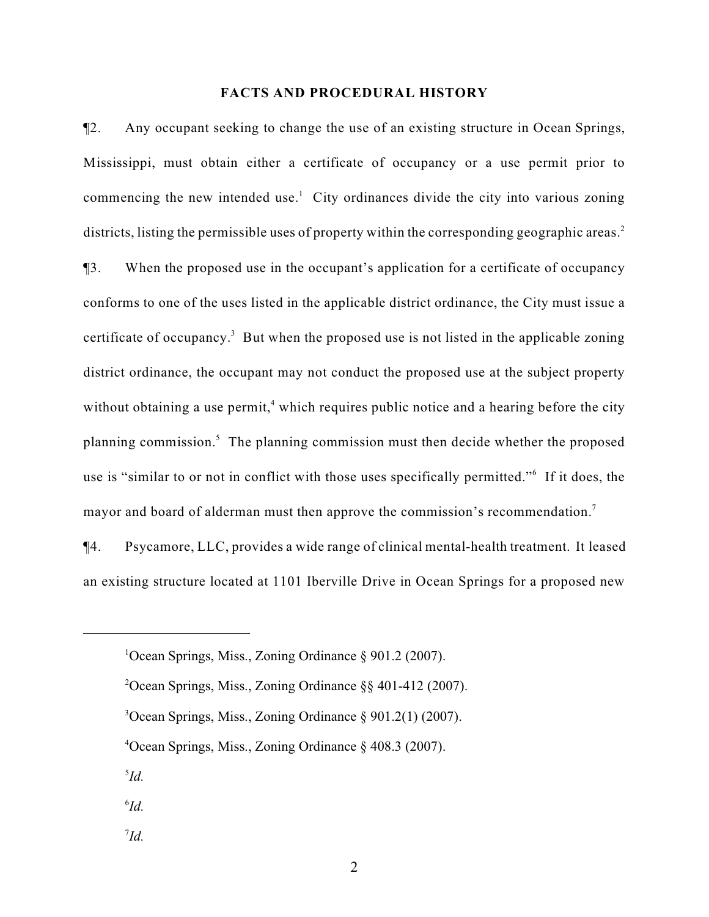#### **FACTS AND PROCEDURAL HISTORY**

¶2. Any occupant seeking to change the use of an existing structure in Ocean Springs, Mississippi, must obtain either a certificate of occupancy or a use permit prior to commencing the new intended use.<sup>1</sup> City ordinances divide the city into various zoning districts, listing the permissible uses of property within the corresponding geographic areas.<sup>2</sup>

¶3. When the proposed use in the occupant's application for a certificate of occupancy conforms to one of the uses listed in the applicable district ordinance, the City must issue a certificate of occupancy.<sup>3</sup> But when the proposed use is not listed in the applicable zoning district ordinance, the occupant may not conduct the proposed use at the subject property without obtaining a use permit,<sup>4</sup> which requires public notice and a hearing before the city planning commission.<sup>5</sup> The planning commission must then decide whether the proposed use is "similar to or not in conflict with those uses specifically permitted." If it does, the mayor and board of alderman must then approve the commission's recommendation.<sup>7</sup>

¶4. Psycamore, LLC, provides a wide range of clinical mental-health treatment. It leased an existing structure located at 1101 Iberville Drive in Ocean Springs for a proposed new

- $3$ Ocean Springs, Miss., Zoning Ordinance  $\S 901.2(1)$  (2007).
- $4$ Ocean Springs, Miss., Zoning Ordinance  $\S$  408.3 (2007).
- $^{5}Id.$
- $^{6}Id$ .
- $^{7}Id.$

<sup>&</sup>lt;sup>1</sup>Ocean Springs, Miss., Zoning Ordinance  $\S$  901.2 (2007).

<sup>&</sup>lt;sup>2</sup>Ocean Springs, Miss., Zoning Ordinance  $\S$ § 401-412 (2007).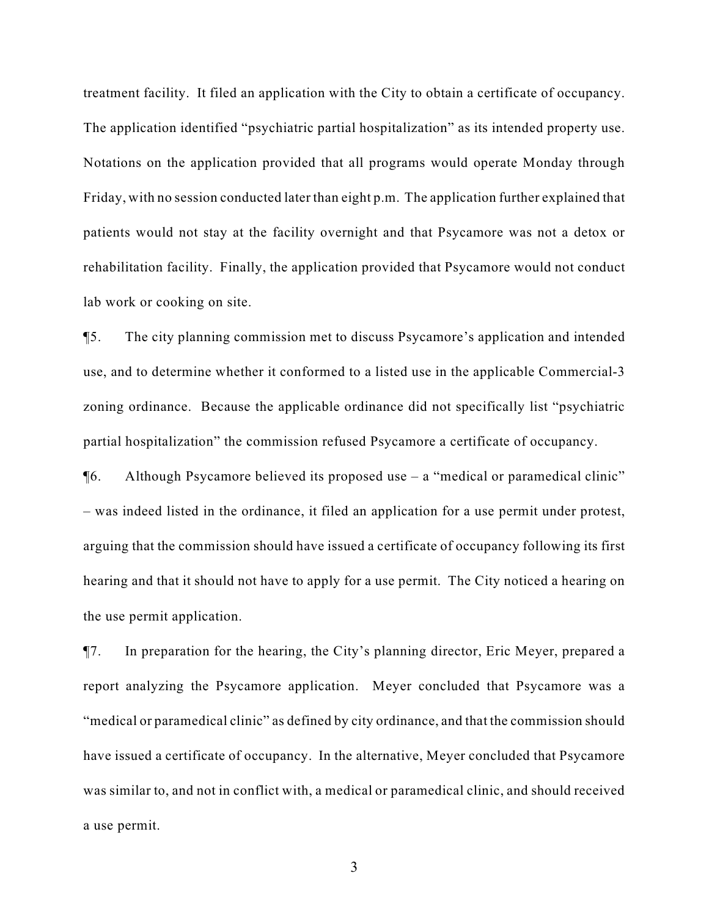treatment facility. It filed an application with the City to obtain a certificate of occupancy. The application identified "psychiatric partial hospitalization" as its intended property use. Notations on the application provided that all programs would operate Monday through Friday, with no session conducted later than eight p.m. The application further explained that patients would not stay at the facility overnight and that Psycamore was not a detox or rehabilitation facility. Finally, the application provided that Psycamore would not conduct lab work or cooking on site.

¶5. The city planning commission met to discuss Psycamore's application and intended use, and to determine whether it conformed to a listed use in the applicable Commercial-3 zoning ordinance. Because the applicable ordinance did not specifically list "psychiatric partial hospitalization" the commission refused Psycamore a certificate of occupancy.

¶6. Although Psycamore believed its proposed use – a "medical or paramedical clinic" – was indeed listed in the ordinance, it filed an application for a use permit under protest, arguing that the commission should have issued a certificate of occupancy following its first hearing and that it should not have to apply for a use permit. The City noticed a hearing on the use permit application.

¶7. In preparation for the hearing, the City's planning director, Eric Meyer, prepared a report analyzing the Psycamore application. Meyer concluded that Psycamore was a "medical or paramedical clinic" as defined by city ordinance, and that the commission should have issued a certificate of occupancy. In the alternative, Meyer concluded that Psycamore was similar to, and not in conflict with, a medical or paramedical clinic, and should received a use permit.

3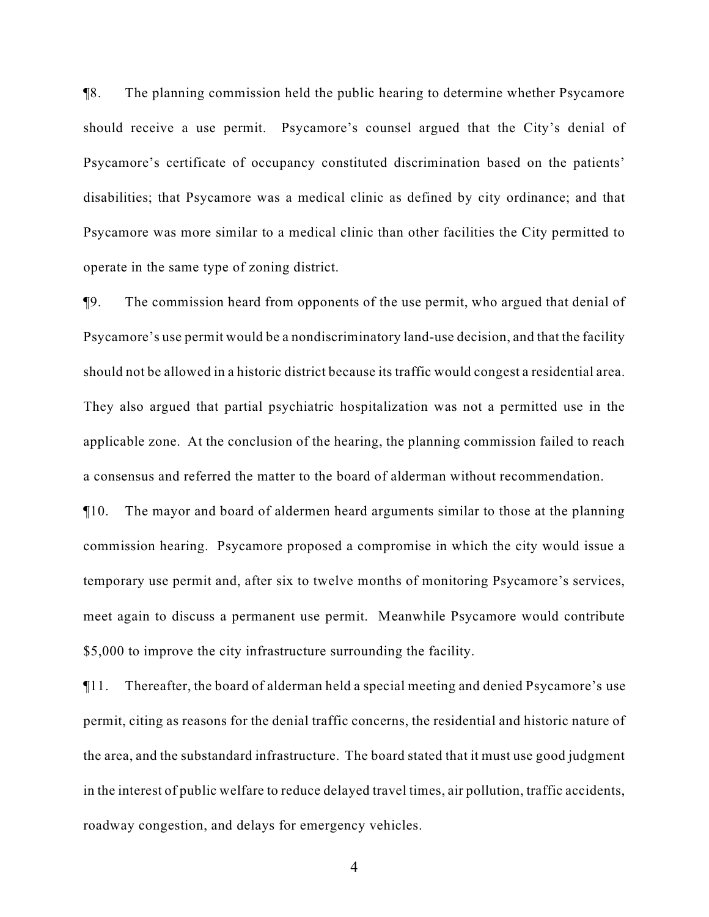¶8. The planning commission held the public hearing to determine whether Psycamore should receive a use permit. Psycamore's counsel argued that the City's denial of Psycamore's certificate of occupancy constituted discrimination based on the patients' disabilities; that Psycamore was a medical clinic as defined by city ordinance; and that Psycamore was more similar to a medical clinic than other facilities the City permitted to operate in the same type of zoning district.

¶9. The commission heard from opponents of the use permit, who argued that denial of Psycamore's use permit would be a nondiscriminatory land-use decision, and that the facility should not be allowed in a historic district because its traffic would congest a residential area. They also argued that partial psychiatric hospitalization was not a permitted use in the applicable zone. At the conclusion of the hearing, the planning commission failed to reach a consensus and referred the matter to the board of alderman without recommendation.

¶10. The mayor and board of aldermen heard arguments similar to those at the planning commission hearing. Psycamore proposed a compromise in which the city would issue a temporary use permit and, after six to twelve months of monitoring Psycamore's services, meet again to discuss a permanent use permit. Meanwhile Psycamore would contribute \$5,000 to improve the city infrastructure surrounding the facility.

¶11. Thereafter, the board of alderman held a special meeting and denied Psycamore's use permit, citing as reasons for the denial traffic concerns, the residential and historic nature of the area, and the substandard infrastructure. The board stated that it must use good judgment in the interest of public welfare to reduce delayed travel times, air pollution, traffic accidents, roadway congestion, and delays for emergency vehicles.

4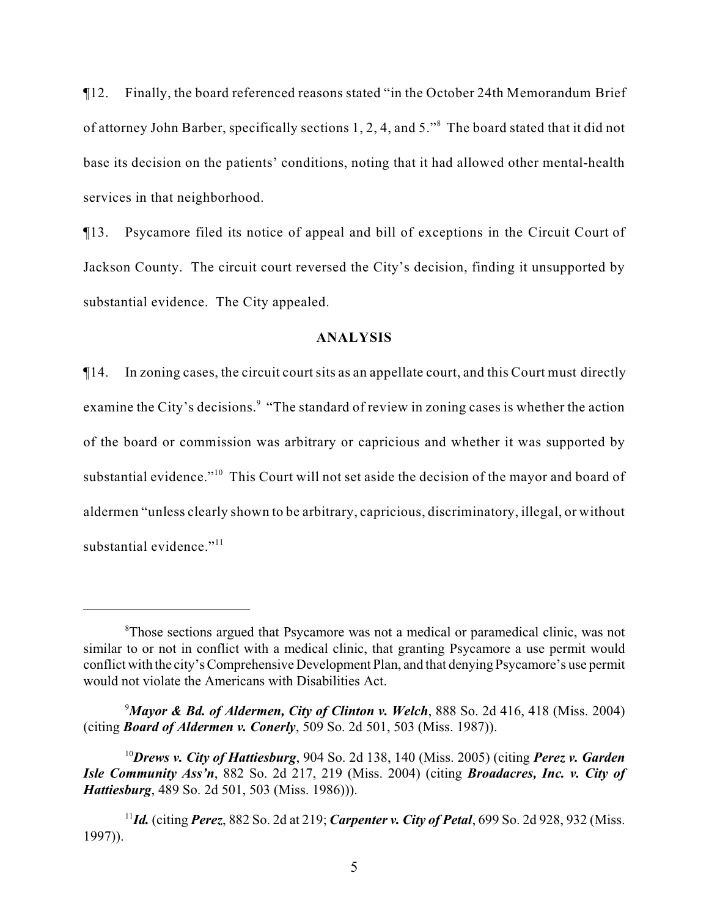¶12. Finally, the board referenced reasons stated "in the October 24th Memorandum Brief of attorney John Barber, specifically sections 1, 2, 4, and 5."<sup>8</sup> The board stated that it did not base its decision on the patients' conditions, noting that it had allowed other mental-health services in that neighborhood.

¶13. Psycamore filed its notice of appeal and bill of exceptions in the Circuit Court of Jackson County. The circuit court reversed the City's decision, finding it unsupported by substantial evidence. The City appealed.

## **ANALYSIS**

¶14. In zoning cases, the circuit court sits as an appellate court, and this Court must directly examine the City's decisions.<sup>9</sup> "The standard of review in zoning cases is whether the action of the board or commission was arbitrary or capricious and whether it was supported by substantial evidence."<sup>10</sup> This Court will not set aside the decision of the mayor and board of aldermen "unless clearly shown to be arbitrary, capricious, discriminatory, illegal, or without substantial evidence."<sup>11</sup>

*Mayor & Bd. of Aldermen, City of Clinton v. Welch*, 888 So. 2d 416, 418 (Miss. 2004) <sup>9</sup> (citing *Board of Aldermen v. Conerly*, 509 So. 2d 501, 503 (Miss. 1987)).

<sup>&</sup>lt;sup>8</sup>Those sections argued that Psycamore was not a medical or paramedical clinic, was not similar to or not in conflict with a medical clinic, that granting Psycamore a use permit would conflict with the city's Comprehensive Development Plan, and that denying Psycamore's use permit would not violate the Americans with Disabilities Act.

*Drews v. City of Hattiesburg*, 904 So. 2d 138, 140 (Miss. 2005) (citing *Perez v. Garden* 10 *Isle Community Ass'n*, 882 So. 2d 217, 219 (Miss. 2004) (citing *Broadacres, Inc. v. City of Hattiesburg*, 489 So. 2d 501, 503 (Miss. 1986))).

*Id.* (citing *Perez*, 882 So. 2d at 219; *Carpenter v. City of Petal*, 699 So. 2d 928, 932 (Miss. <sup>11</sup> 1997)).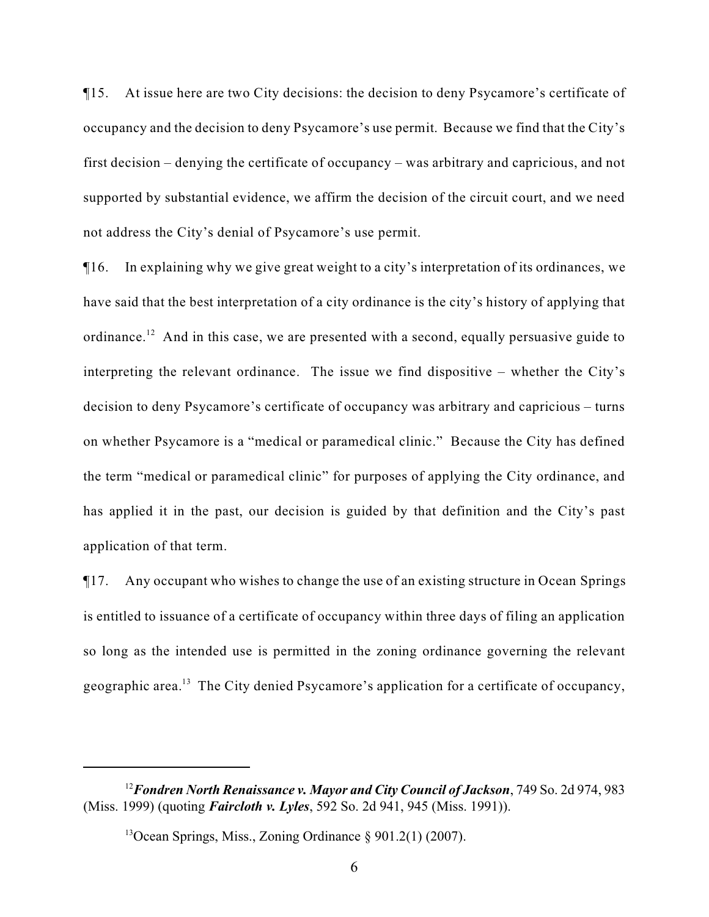¶15. At issue here are two City decisions: the decision to deny Psycamore's certificate of occupancy and the decision to deny Psycamore's use permit. Because we find that the City's first decision – denying the certificate of occupancy – was arbitrary and capricious, and not supported by substantial evidence, we affirm the decision of the circuit court, and we need not address the City's denial of Psycamore's use permit.

¶16. In explaining why we give great weight to a city's interpretation of its ordinances, we have said that the best interpretation of a city ordinance is the city's history of applying that ordinance.<sup>12</sup> And in this case, we are presented with a second, equally persuasive guide to interpreting the relevant ordinance. The issue we find dispositive – whether the City's decision to deny Psycamore's certificate of occupancy was arbitrary and capricious – turns on whether Psycamore is a "medical or paramedical clinic." Because the City has defined the term "medical or paramedical clinic" for purposes of applying the City ordinance, and has applied it in the past, our decision is guided by that definition and the City's past application of that term.

¶17. Any occupant who wishes to change the use of an existing structure in Ocean Springs is entitled to issuance of a certificate of occupancy within three days of filing an application so long as the intended use is permitted in the zoning ordinance governing the relevant geographic area.<sup>13</sup> The City denied Psycamore's application for a certificate of occupancy,

<sup>&</sup>lt;sup>12</sup> Fondren North Renaissance v. Mayor and City Council of Jackson, 749 So. 2d 974, 983 (Miss. 1999) (quoting *Faircloth v. Lyles*, 592 So. 2d 941, 945 (Miss. 1991)).

<sup>&</sup>lt;sup>13</sup>Ocean Springs, Miss., Zoning Ordinance  $\S$  901.2(1) (2007).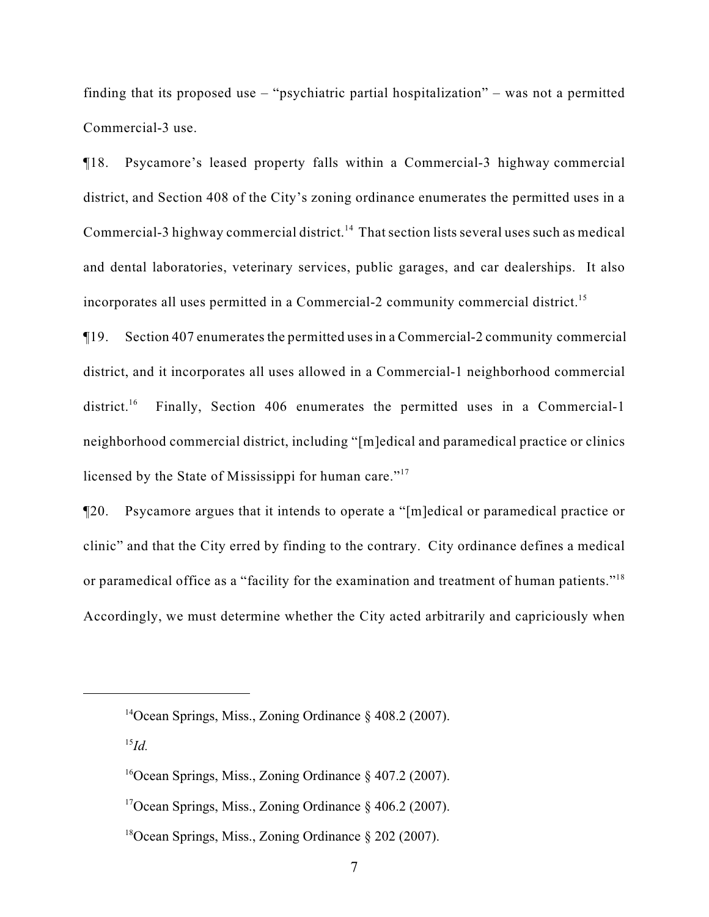finding that its proposed use – "psychiatric partial hospitalization" – was not a permitted Commercial-3 use.

¶18. Psycamore's leased property falls within a Commercial-3 highway commercial district, and Section 408 of the City's zoning ordinance enumerates the permitted uses in a Commercial-3 highway commercial district.<sup>14</sup> That section lists several uses such as medical and dental laboratories, veterinary services, public garages, and car dealerships. It also incorporates all uses permitted in a Commercial-2 community commercial district.<sup>15</sup>

¶19. Section 407 enumerates the permitted uses in a Commercial-2 community commercial district, and it incorporates all uses allowed in a Commercial-1 neighborhood commercial district.<sup>16</sup> Finally, Section 406 enumerates the permitted uses in a Commercial-1 neighborhood commercial district, including "[m]edical and paramedical practice or clinics licensed by the State of Mississippi for human care."<sup>17</sup>

¶20. Psycamore argues that it intends to operate a "[m]edical or paramedical practice or clinic" and that the City erred by finding to the contrary. City ordinance defines a medical or paramedical office as a "facility for the examination and treatment of human patients."<sup>18</sup> Accordingly, we must determine whether the City acted arbitrarily and capriciously when

<sup>&</sup>lt;sup>14</sup>Ocean Springs, Miss., Zoning Ordinance  $\S$  408.2 (2007).

 $^{15}Id.$ 

<sup>&</sup>lt;sup>16</sup>Ocean Springs, Miss., Zoning Ordinance  $\S$  407.2 (2007).

<sup>&</sup>lt;sup>17</sup> Ocean Springs, Miss., Zoning Ordinance  $\S$  406.2 (2007).

<sup>&</sup>lt;sup>18</sup>Ocean Springs, Miss., Zoning Ordinance  $\S 202$  (2007).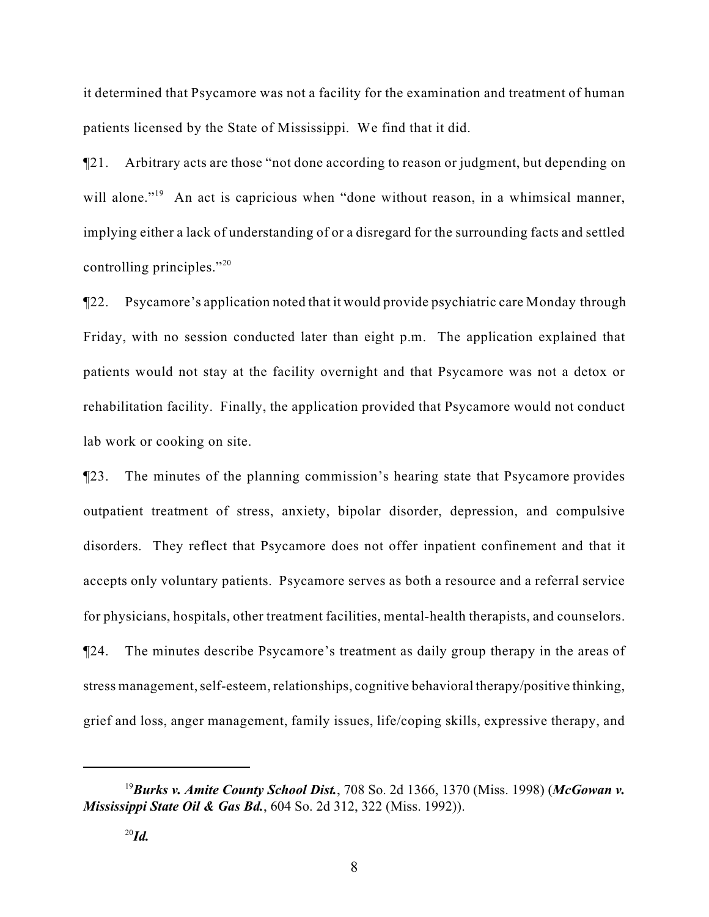it determined that Psycamore was not a facility for the examination and treatment of human patients licensed by the State of Mississippi. We find that it did.

¶21. Arbitrary acts are those "not done according to reason or judgment, but depending on will alone."<sup> $19$ </sup> An act is capricious when "done without reason, in a whimsical manner, implying either a lack of understanding of or a disregard for the surrounding facts and settled controlling principles."<sup>20</sup>

¶22. Psycamore's application noted that it would provide psychiatric care Monday through Friday, with no session conducted later than eight p.m. The application explained that patients would not stay at the facility overnight and that Psycamore was not a detox or rehabilitation facility. Finally, the application provided that Psycamore would not conduct lab work or cooking on site.

¶23. The minutes of the planning commission's hearing state that Psycamore provides outpatient treatment of stress, anxiety, bipolar disorder, depression, and compulsive disorders. They reflect that Psycamore does not offer inpatient confinement and that it accepts only voluntary patients. Psycamore serves as both a resource and a referral service for physicians, hospitals, other treatment facilities, mental-health therapists, and counselors. ¶24. The minutes describe Psycamore's treatment as daily group therapy in the areas of stress management, self-esteem, relationships, cognitive behavioral therapy/positive thinking, grief and loss, anger management, family issues, life/coping skills, expressive therapy, and

*Burks v. Amite County School Dist.*, 708 So. 2d 1366, 1370 (Miss. 1998) (*McGowan v.* <sup>19</sup> *Mississippi State Oil & Gas Bd.*, 604 So. 2d 312, 322 (Miss. 1992)).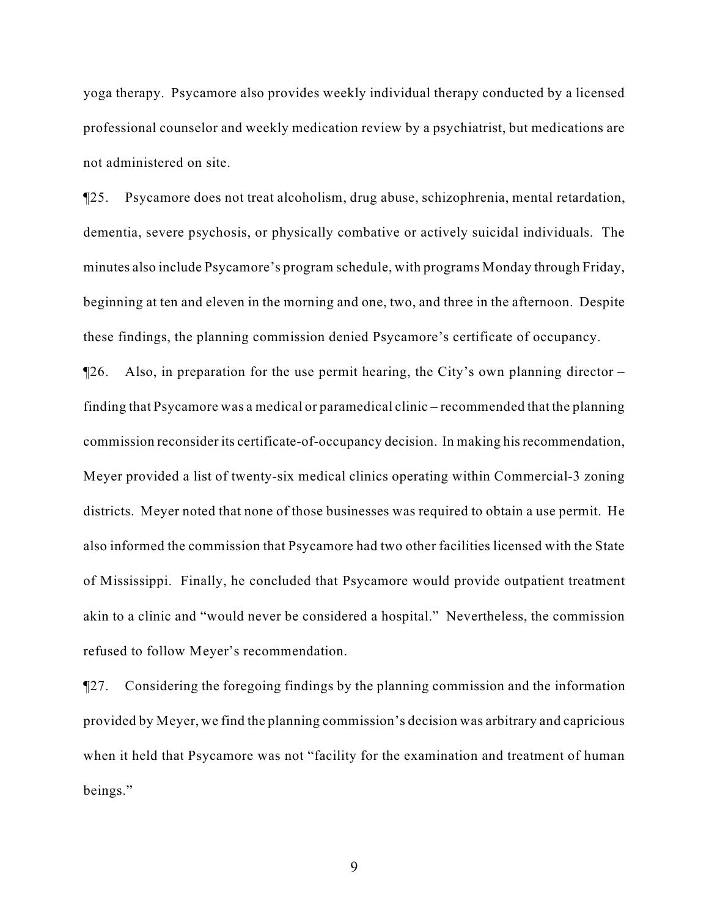yoga therapy. Psycamore also provides weekly individual therapy conducted by a licensed professional counselor and weekly medication review by a psychiatrist, but medications are not administered on site.

¶25. Psycamore does not treat alcoholism, drug abuse, schizophrenia, mental retardation, dementia, severe psychosis, or physically combative or actively suicidal individuals. The minutes also include Psycamore's program schedule, with programs Monday through Friday, beginning at ten and eleven in the morning and one, two, and three in the afternoon. Despite these findings, the planning commission denied Psycamore's certificate of occupancy.

¶26. Also, in preparation for the use permit hearing, the City's own planning director – finding that Psycamore was a medical or paramedical clinic – recommended that the planning commission reconsider its certificate-of-occupancy decision. In making his recommendation, Meyer provided a list of twenty-six medical clinics operating within Commercial-3 zoning districts. Meyer noted that none of those businesses was required to obtain a use permit. He also informed the commission that Psycamore had two other facilities licensed with the State of Mississippi. Finally, he concluded that Psycamore would provide outpatient treatment akin to a clinic and "would never be considered a hospital." Nevertheless, the commission refused to follow Meyer's recommendation.

¶27. Considering the foregoing findings by the planning commission and the information provided by Meyer, we find the planning commission's decision was arbitrary and capricious when it held that Psycamore was not "facility for the examination and treatment of human beings."

9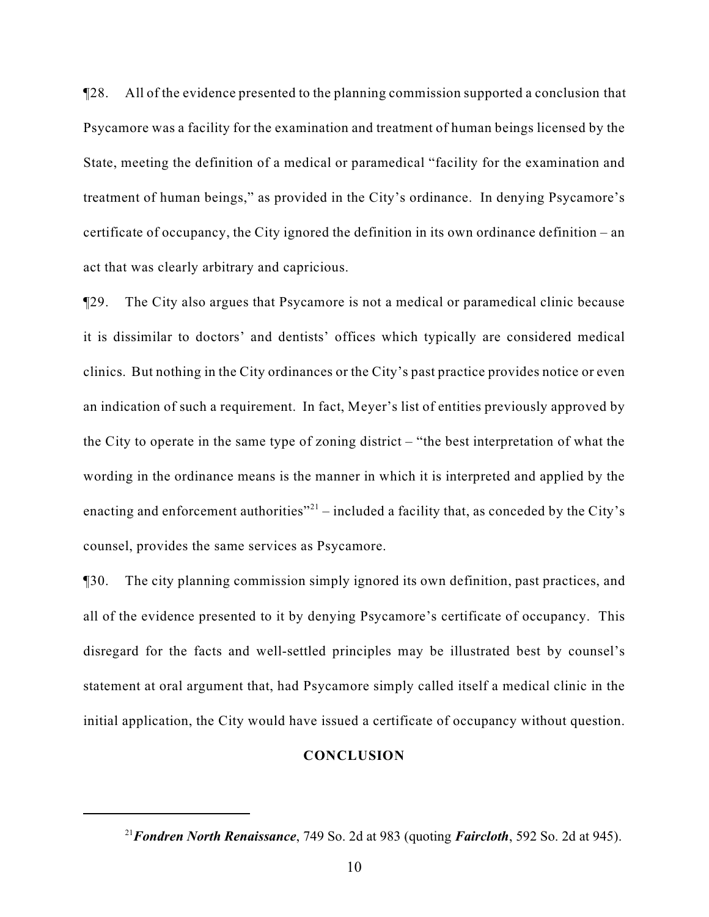¶28. All of the evidence presented to the planning commission supported a conclusion that Psycamore was a facility for the examination and treatment of human beings licensed by the State, meeting the definition of a medical or paramedical "facility for the examination and treatment of human beings," as provided in the City's ordinance. In denying Psycamore's certificate of occupancy, the City ignored the definition in its own ordinance definition – an act that was clearly arbitrary and capricious.

¶29. The City also argues that Psycamore is not a medical or paramedical clinic because it is dissimilar to doctors' and dentists' offices which typically are considered medical clinics. But nothing in the City ordinances or the City's past practice provides notice or even an indication of such a requirement. In fact, Meyer's list of entities previously approved by the City to operate in the same type of zoning district – "the best interpretation of what the wording in the ordinance means is the manner in which it is interpreted and applied by the enacting and enforcement authorities" $^{21}$  – included a facility that, as conceded by the City's counsel, provides the same services as Psycamore.

¶30. The city planning commission simply ignored its own definition, past practices, and all of the evidence presented to it by denying Psycamore's certificate of occupancy. This disregard for the facts and well-settled principles may be illustrated best by counsel's statement at oral argument that, had Psycamore simply called itself a medical clinic in the initial application, the City would have issued a certificate of occupancy without question.

#### **CONCLUSION**

<sup>&</sup>lt;sup>21</sup> Fondren North Renaissance, 749 So. 2d at 983 (quoting *Faircloth*, 592 So. 2d at 945).